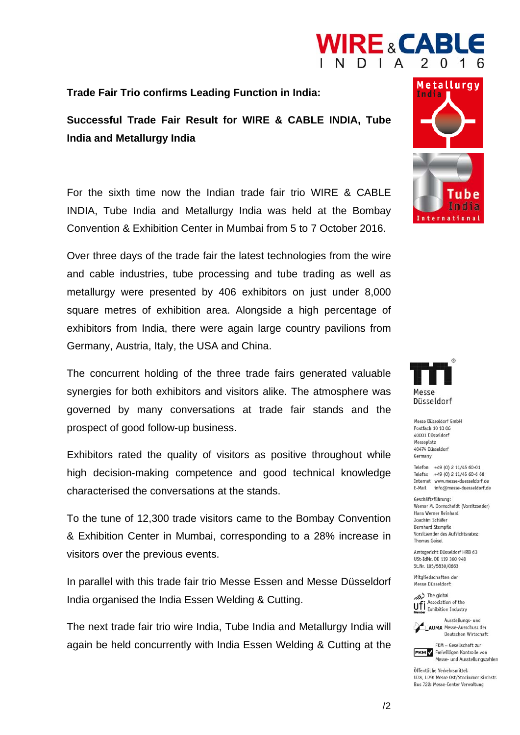

**Trade Fair Trio confirms Leading Function in India:** 

## **Successful Trade Fair Result for WIRE & CABLE INDIA, Tube India and Metallurgy India**

For the sixth time now the Indian trade fair trio WIRE & CABLE INDIA, Tube India and Metallurgy India was held at the Bombay Convention & Exhibition Center in Mumbai from 5 to 7 October 2016.

Over three days of the trade fair the latest technologies from the wire and cable industries, tube processing and tube trading as well as metallurgy were presented by 406 exhibitors on just under 8,000 square metres of exhibition area. Alongside a high percentage of exhibitors from India, there were again large country pavilions from Germany, Austria, Italy, the USA and China.

The concurrent holding of the three trade fairs generated valuable synergies for both exhibitors and visitors alike. The atmosphere was governed by many conversations at trade fair stands and the prospect of good follow-up business.

Exhibitors rated the quality of visitors as positive throughout while high decision-making competence and good technical knowledge characterised the conversations at the stands.

To the tune of 12,300 trade visitors came to the Bombay Convention & Exhibition Center in Mumbai, corresponding to a 28% increase in visitors over the previous events.

In parallel with this trade fair trio Messe Essen and Messe Düsseldorf India organised the India Essen Welding & Cutting.

The next trade fair trio wire India, Tube India and Metallurgy India will again be held concurrently with India Essen Welding & Cutting at the





Messe Düsseldorf GmbH Postfach 10 10 06 40001 Düsseldorf Messeplatz 40474 Düsseldorf Germany

Telefon +49 (0) 2 11/45 60-01 Telefax +49 (0) 2 11/45 60-6 68 Internet www.messe-duesseldorf.de E-Mail info@messe-duesseldorf.de

Geschäftsführung: Werner M. Dornscheidt (Vorsitzender) Hans Werner Reinhard Joachim Schäfer **Bernhard Stempfle** Vorsitzender des Aufsichtsrates: **Thomas Geisel** 

Amtsgericht Düsseldorf HRB 63 USt-IdNr, DE 119 360 948 St.Nr. 105/5830/0663

Mitgliedschaften der Messe Düsseldorf:





FKM - Gesellschaft zur **FKM** Freiwilligen Kontrolle von

Öffentliche Verkehrsmittel: U78, U79: Messe Ost/Stockumer Kirchstr. Bus 722: Messe-Center Verwaltung

Messe- und Ausstellungszahlen